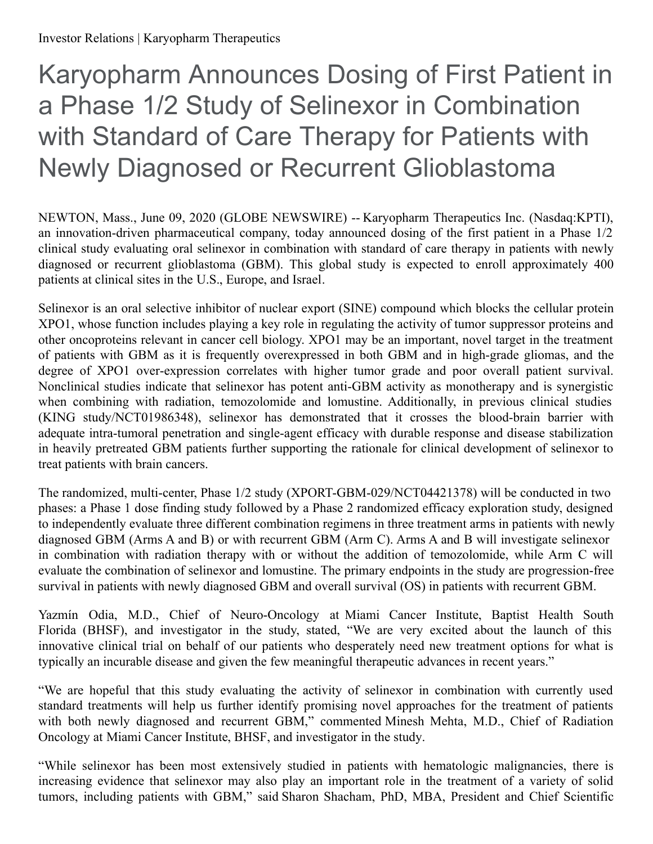# Karyopharm Announces Dosing of First Patient in a Phase 1/2 Study of Selinexor in Combination with Standard of Care Therapy for Patients with Newly Diagnosed or Recurrent Glioblastoma

NEWTON, Mass., June 09, 2020 (GLOBE NEWSWIRE) -- Karyopharm Therapeutics Inc. (Nasdaq:KPTI), an innovation-driven pharmaceutical company, today announced dosing of the first patient in a Phase 1/2 clinical study evaluating oral selinexor in combination with standard of care therapy in patients with newly diagnosed or recurrent glioblastoma (GBM). This global study is expected to enroll approximately 400 patients at clinical sites in the U.S., Europe, and Israel.

Selinexor is an oral selective inhibitor of nuclear export (SINE) compound which blocks the cellular protein XPO1, whose function includes playing a key role in regulating the activity of tumor suppressor proteins and other oncoproteins relevant in cancer cell biology. XPO1 may be an important, novel target in the treatment of patients with GBM as it is frequently overexpressed in both GBM and in high-grade gliomas, and the degree of XPO1 over-expression correlates with higher tumor grade and poor overall patient survival. Nonclinical studies indicate that selinexor has potent anti-GBM activity as monotherapy and is synergistic when combining with radiation, temozolomide and lomustine. Additionally, in previous clinical studies (KING study/NCT01986348), selinexor has demonstrated that it crosses the blood-brain barrier with adequate intra-tumoral penetration and single-agent efficacy with durable response and disease stabilization in heavily pretreated GBM patients further supporting the rationale for clinical development of selinexor to treat patients with brain cancers.

The randomized, multi-center, Phase 1/2 study (XPORT-GBM-029/NCT04421378) will be conducted in two phases: a Phase 1 dose finding study followed by a Phase 2 randomized efficacy exploration study, designed to independently evaluate three different combination regimens in three treatment arms in patients with newly diagnosed GBM (Arms A and B) or with recurrent GBM (Arm C). Arms A and B will investigate selinexor in combination with radiation therapy with or without the addition of temozolomide, while Arm C will evaluate the combination of selinexor and lomustine. The primary endpoints in the study are progression-free survival in patients with newly diagnosed GBM and overall survival (OS) in patients with recurrent GBM.

Yazmín Odia, M.D., Chief of Neuro-Oncology at Miami Cancer Institute, Baptist Health South Florida (BHSF), and investigator in the study, stated, "We are very excited about the launch of this innovative clinical trial on behalf of our patients who desperately need new treatment options for what is typically an incurable disease and given the few meaningful therapeutic advances in recent years."

"We are hopeful that this study evaluating the activity of selinexor in combination with currently used standard treatments will help us further identify promising novel approaches for the treatment of patients with both newly diagnosed and recurrent GBM," commented Minesh Mehta, M.D., Chief of Radiation Oncology at Miami Cancer Institute, BHSF, and investigator in the study.

"While selinexor has been most extensively studied in patients with hematologic malignancies, there is increasing evidence that selinexor may also play an important role in the treatment of a variety of solid tumors, including patients with GBM," said Sharon Shacham, PhD, MBA, President and Chief Scientific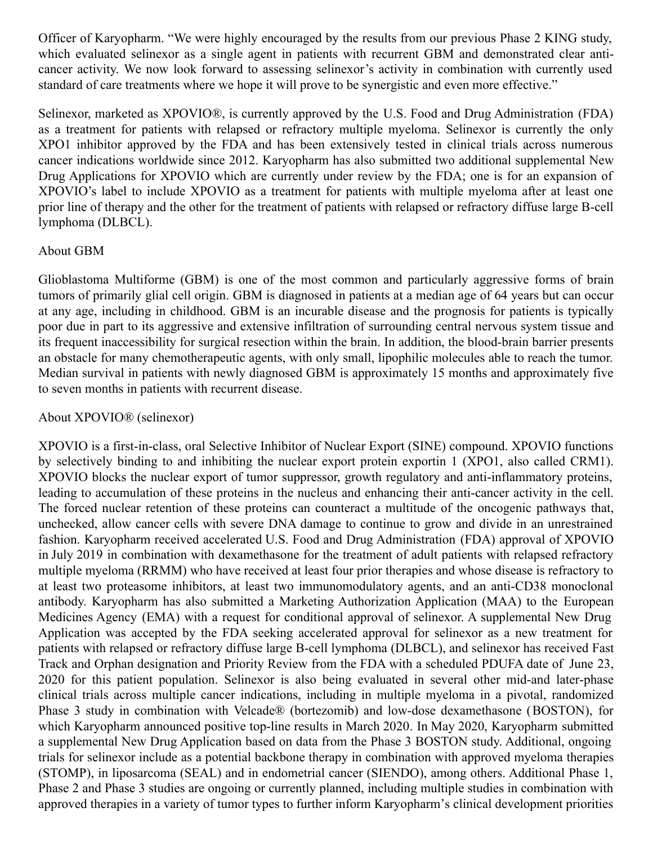Officer of Karyopharm. "We were highly encouraged by the results from our previous Phase 2 KING study, which evaluated selinexor as a single agent in patients with recurrent GBM and demonstrated clear anticancer activity. We now look forward to assessing selinexor's activity in combination with currently used standard of care treatments where we hope it will prove to be synergistic and even more effective."

Selinexor, marketed as XPOVIO®, is currently approved by the U.S. Food and Drug Administration (FDA) as a treatment for patients with relapsed or refractory multiple myeloma. Selinexor is currently the only XPO1 inhibitor approved by the FDA and has been extensively tested in clinical trials across numerous cancer indications worldwide since 2012. Karyopharm has also submitted two additional supplemental New Drug Applications for XPOVIO which are currently under review by the FDA; one is for an expansion of XPOVIO's label to include XPOVIO as a treatment for patients with multiple myeloma after at least one prior line of therapy and the other for the treatment of patients with relapsed or refractory diffuse large B-cell lymphoma (DLBCL).

# About GBM

Glioblastoma Multiforme (GBM) is one of the most common and particularly aggressive forms of brain tumors of primarily glial cell origin. GBM is diagnosed in patients at a median age of 64 years but can occur at any age, including in childhood. GBM is an incurable disease and the prognosis for patients is typically poor due in part to its aggressive and extensive infiltration of surrounding central nervous system tissue and its frequent inaccessibility for surgical resection within the brain. In addition, the blood-brain barrier presents an obstacle for many chemotherapeutic agents, with only small, lipophilic molecules able to reach the tumor. Median survival in patients with newly diagnosed GBM is approximately 15 months and approximately five to seven months in patients with recurrent disease.

## About XPOVIO® (selinexor)

XPOVIO is a first-in-class, oral Selective Inhibitor of Nuclear Export (SINE) compound. XPOVIO functions by selectively binding to and inhibiting the nuclear export protein exportin 1 (XPO1, also called CRM1). XPOVIO blocks the nuclear export of tumor suppressor, growth regulatory and anti-inflammatory proteins, leading to accumulation of these proteins in the nucleus and enhancing their anti-cancer activity in the cell. The forced nuclear retention of these proteins can counteract a multitude of the oncogenic pathways that, unchecked, allow cancer cells with severe DNA damage to continue to grow and divide in an unrestrained fashion. Karyopharm received accelerated U.S. Food and Drug Administration (FDA) approval of XPOVIO in July 2019 in combination with dexamethasone for the treatment of adult patients with relapsed refractory multiple myeloma (RRMM) who have received at least four prior therapies and whose disease is refractory to at least two proteasome inhibitors, at least two immunomodulatory agents, and an anti-CD38 monoclonal antibody. Karyopharm has also submitted a Marketing Authorization Application (MAA) to the European Medicines Agency (EMA) with a request for conditional approval of selinexor. A supplemental New Drug Application was accepted by the FDA seeking accelerated approval for selinexor as a new treatment for patients with relapsed or refractory diffuse large B-cell lymphoma (DLBCL), and selinexor has received Fast Track and Orphan designation and Priority Review from the FDA with a scheduled PDUFA date of June 23, 2020 for this patient population. Selinexor is also being evaluated in several other mid-and later-phase clinical trials across multiple cancer indications, including in multiple myeloma in a pivotal, randomized Phase 3 study in combination with Velcade® (bortezomib) and low-dose dexamethasone (BOSTON), for which Karyopharm announced positive top-line results in March 2020. In May 2020, Karyopharm submitted a supplemental New Drug Application based on data from the Phase 3 BOSTON study. Additional, ongoing trials for selinexor include as a potential backbone therapy in combination with approved myeloma therapies (STOMP), in liposarcoma (SEAL) and in endometrial cancer (SIENDO), among others. Additional Phase 1, Phase 2 and Phase 3 studies are ongoing or currently planned, including multiple studies in combination with approved therapies in a variety of tumor types to further inform Karyopharm's clinical development priorities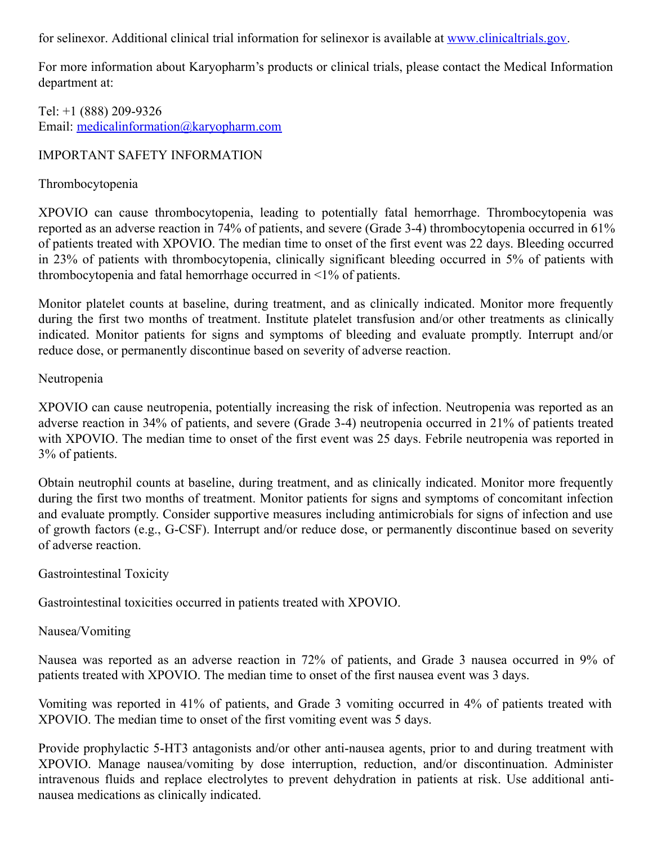for selinexor. Additional clinical trial information for selinexor is available at [www.clinicaltrials.gov](http://www.clinicaltrials.gov/).

For more information about Karyopharm's products or clinical trials, please contact the Medical Information department at:

Tel: +1 (888) 209-9326 Email: [medicalinformation@karyopharm.com](mailto:medicalinformation@karyopharm.com)

# IMPORTANT SAFETY INFORMATION

## Thrombocytopenia

XPOVIO can cause thrombocytopenia, leading to potentially fatal hemorrhage. Thrombocytopenia was reported as an adverse reaction in 74% of patients, and severe (Grade 3-4) thrombocytopenia occurred in 61% of patients treated with XPOVIO. The median time to onset of the first event was 22 days. Bleeding occurred in 23% of patients with thrombocytopenia, clinically significant bleeding occurred in 5% of patients with thrombocytopenia and fatal hemorrhage occurred in <1% of patients.

Monitor platelet counts at baseline, during treatment, and as clinically indicated. Monitor more frequently during the first two months of treatment. Institute platelet transfusion and/or other treatments as clinically indicated. Monitor patients for signs and symptoms of bleeding and evaluate promptly. Interrupt and/or reduce dose, or permanently discontinue based on severity of adverse reaction.

## Neutropenia

XPOVIO can cause neutropenia, potentially increasing the risk of infection. Neutropenia was reported as an adverse reaction in 34% of patients, and severe (Grade 3-4) neutropenia occurred in 21% of patients treated with XPOVIO. The median time to onset of the first event was 25 days. Febrile neutropenia was reported in 3% of patients.

Obtain neutrophil counts at baseline, during treatment, and as clinically indicated. Monitor more frequently during the first two months of treatment. Monitor patients for signs and symptoms of concomitant infection and evaluate promptly. Consider supportive measures including antimicrobials for signs of infection and use of growth factors (e.g., G-CSF). Interrupt and/or reduce dose, or permanently discontinue based on severity of adverse reaction.

## Gastrointestinal Toxicity

Gastrointestinal toxicities occurred in patients treated with XPOVIO.

## Nausea/Vomiting

Nausea was reported as an adverse reaction in 72% of patients, and Grade 3 nausea occurred in 9% of patients treated with XPOVIO. The median time to onset of the first nausea event was 3 days.

Vomiting was reported in 41% of patients, and Grade 3 vomiting occurred in 4% of patients treated with XPOVIO. The median time to onset of the first vomiting event was 5 days.

Provide prophylactic 5-HT3 antagonists and/or other anti-nausea agents, prior to and during treatment with XPOVIO. Manage nausea/vomiting by dose interruption, reduction, and/or discontinuation. Administer intravenous fluids and replace electrolytes to prevent dehydration in patients at risk. Use additional antinausea medications as clinically indicated.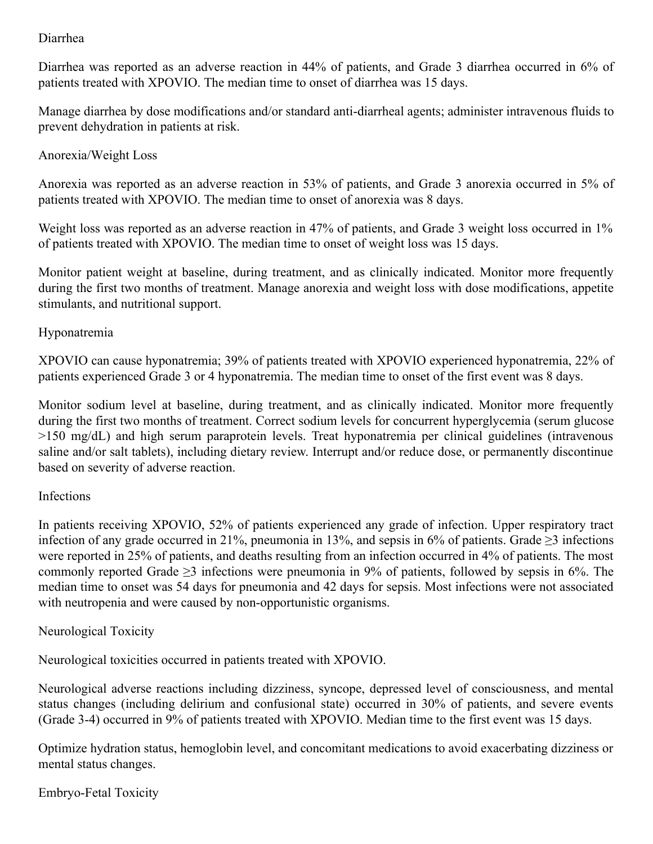# Diarrhea

Diarrhea was reported as an adverse reaction in 44% of patients, and Grade 3 diarrhea occurred in 6% of patients treated with XPOVIO. The median time to onset of diarrhea was 15 days.

Manage diarrhea by dose modifications and/or standard anti-diarrheal agents; administer intravenous fluids to prevent dehydration in patients at risk.

## Anorexia/Weight Loss

Anorexia was reported as an adverse reaction in 53% of patients, and Grade 3 anorexia occurred in 5% of patients treated with XPOVIO. The median time to onset of anorexia was 8 days.

Weight loss was reported as an adverse reaction in 47% of patients, and Grade 3 weight loss occurred in 1% of patients treated with XPOVIO. The median time to onset of weight loss was 15 days.

Monitor patient weight at baseline, during treatment, and as clinically indicated. Monitor more frequently during the first two months of treatment. Manage anorexia and weight loss with dose modifications, appetite stimulants, and nutritional support.

# Hyponatremia

XPOVIO can cause hyponatremia; 39% of patients treated with XPOVIO experienced hyponatremia, 22% of patients experienced Grade 3 or 4 hyponatremia. The median time to onset of the first event was 8 days.

Monitor sodium level at baseline, during treatment, and as clinically indicated. Monitor more frequently during the first two months of treatment. Correct sodium levels for concurrent hyperglycemia (serum glucose >150 mg/dL) and high serum paraprotein levels. Treat hyponatremia per clinical guidelines (intravenous saline and/or salt tablets), including dietary review. Interrupt and/or reduce dose, or permanently discontinue based on severity of adverse reaction.

## Infections

In patients receiving XPOVIO, 52% of patients experienced any grade of infection. Upper respiratory tract infection of any grade occurred in 21%, pneumonia in 13%, and sepsis in 6% of patients. Grade  $\geq 3$  infections were reported in 25% of patients, and deaths resulting from an infection occurred in 4% of patients. The most commonly reported Grade  $\geq$ 3 infections were pneumonia in 9% of patients, followed by sepsis in 6%. The median time to onset was 54 days for pneumonia and 42 days for sepsis. Most infections were not associated with neutropenia and were caused by non-opportunistic organisms.

## Neurological Toxicity

Neurological toxicities occurred in patients treated with XPOVIO.

Neurological adverse reactions including dizziness, syncope, depressed level of consciousness, and mental status changes (including delirium and confusional state) occurred in 30% of patients, and severe events (Grade 3-4) occurred in 9% of patients treated with XPOVIO. Median time to the first event was 15 days.

Optimize hydration status, hemoglobin level, and concomitant medications to avoid exacerbating dizziness or mental status changes.

Embryo-Fetal Toxicity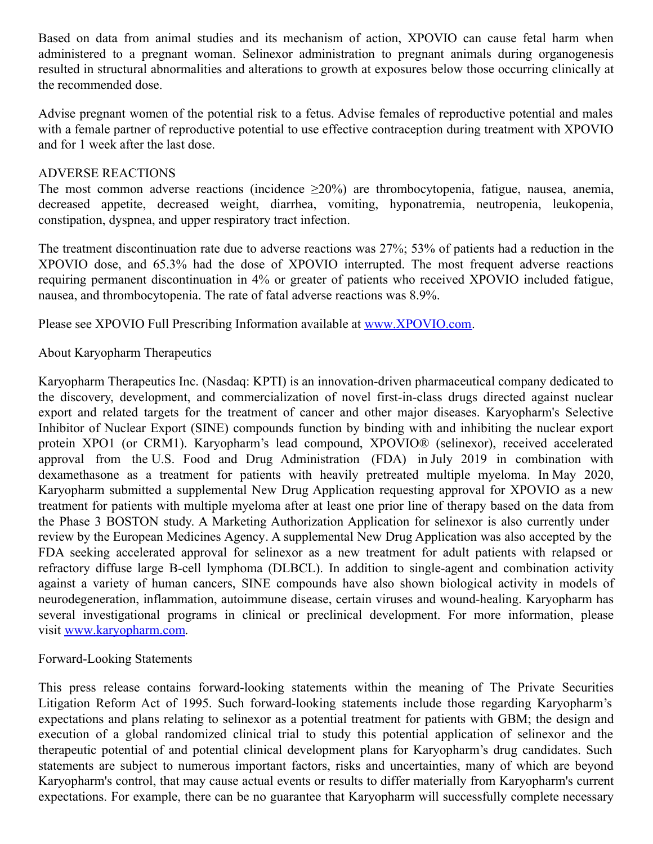Based on data from animal studies and its mechanism of action, XPOVIO can cause fetal harm when administered to a pregnant woman. Selinexor administration to pregnant animals during organogenesis resulted in structural abnormalities and alterations to growth at exposures below those occurring clinically at the recommended dose.

Advise pregnant women of the potential risk to a fetus. Advise females of reproductive potential and males with a female partner of reproductive potential to use effective contraception during treatment with XPOVIO and for 1 week after the last dose.

## ADVERSE REACTIONS

The most common adverse reactions (incidence  $\geq 20\%$ ) are thrombocytopenia, fatigue, nausea, anemia, decreased appetite, decreased weight, diarrhea, vomiting, hyponatremia, neutropenia, leukopenia, constipation, dyspnea, and upper respiratory tract infection.

The treatment discontinuation rate due to adverse reactions was 27%; 53% of patients had a reduction in the XPOVIO dose, and 65.3% had the dose of XPOVIO interrupted. The most frequent adverse reactions requiring permanent discontinuation in 4% or greater of patients who received XPOVIO included fatigue, nausea, and thrombocytopenia. The rate of fatal adverse reactions was 8.9%.

Please see XPOVIO Full Prescribing Information available at [www.XPOVIO.com](https://www.globenewswire.com/Tracker?data=8KO0Ci57UezNxI3tDp2TY3B2ply__YXcute9YlTvmPm1UgoYTVYP9UpnHJsNrtuKJXptSQ8fAtcm0ZFCr_bxyR6KYDQ5r7Wpj6-RgouRBGHIlcrDrOEJm0pUb6HkyffcAtRMSziGRJ4cOCCKTuz9V2TZIP31m9naFZboxBNT3FqtfCGZrWXBuRN3TehL8zGXxZjH7wb15yA3kL-ZzTBdw6MkUvCzWxgymkmckK_kOhU=).

# About Karyopharm Therapeutics

Karyopharm Therapeutics Inc. (Nasdaq: KPTI) is an innovation-driven pharmaceutical company dedicated to the discovery, development, and commercialization of novel first-in-class drugs directed against nuclear export and related targets for the treatment of cancer and other major diseases. Karyopharm's Selective Inhibitor of Nuclear Export (SINE) compounds function by binding with and inhibiting the nuclear export protein XPO1 (or CRM1). Karyopharm's lead compound, XPOVIO® (selinexor), received accelerated approval from the U.S. Food and Drug Administration (FDA) in July 2019 in combination with dexamethasone as a treatment for patients with heavily pretreated multiple myeloma. In May 2020, Karyopharm submitted a supplemental New Drug Application requesting approval for XPOVIO as a new treatment for patients with multiple myeloma after at least one prior line of therapy based on the data from the Phase 3 BOSTON study. A Marketing Authorization Application for selinexor is also currently under review by the European Medicines Agency. A supplemental New Drug Application was also accepted by the FDA seeking accelerated approval for selinexor as a new treatment for adult patients with relapsed or refractory diffuse large B-cell lymphoma (DLBCL). In addition to single-agent and combination activity against a variety of human cancers, SINE compounds have also shown biological activity in models of neurodegeneration, inflammation, autoimmune disease, certain viruses and wound-healing. Karyopharm has several investigational programs in clinical or preclinical development. For more information, please visit [www.karyopharm.com](http://www.karyopharm.com/).

## Forward-Looking Statements

This press release contains forward-looking statements within the meaning of The Private Securities Litigation Reform Act of 1995. Such forward-looking statements include those regarding Karyopharm's expectations and plans relating to selinexor as a potential treatment for patients with GBM; the design and execution of a global randomized clinical trial to study this potential application of selinexor and the therapeutic potential of and potential clinical development plans for Karyopharm's drug candidates. Such statements are subject to numerous important factors, risks and uncertainties, many of which are beyond Karyopharm's control, that may cause actual events or results to differ materially from Karyopharm's current expectations. For example, there can be no guarantee that Karyopharm will successfully complete necessary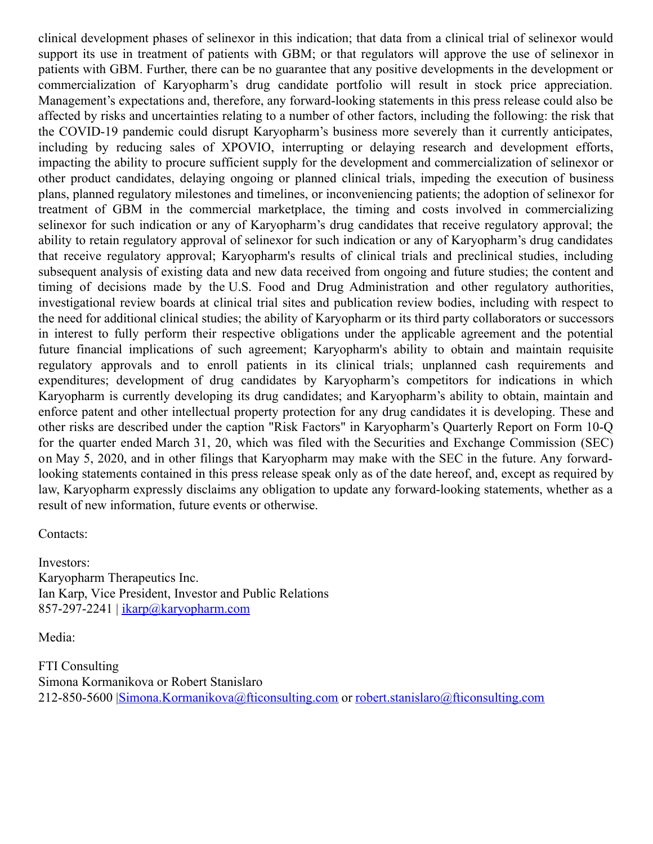clinical development phases of selinexor in this indication; that data from a clinical trial of selinexor would support its use in treatment of patients with GBM; or that regulators will approve the use of selinexor in patients with GBM. Further, there can be no guarantee that any positive developments in the development or commercialization of Karyopharm's drug candidate portfolio will result in stock price appreciation. Management's expectations and, therefore, any forward-looking statements in this press release could also be affected by risks and uncertainties relating to a number of other factors, including the following: the risk that the COVID-19 pandemic could disrupt Karyopharm's business more severely than it currently anticipates, including by reducing sales of XPOVIO, interrupting or delaying research and development efforts, impacting the ability to procure sufficient supply for the development and commercialization of selinexor or other product candidates, delaying ongoing or planned clinical trials, impeding the execution of business plans, planned regulatory milestones and timelines, or inconveniencing patients; the adoption of selinexor for treatment of GBM in the commercial marketplace, the timing and costs involved in commercializing selinexor for such indication or any of Karyopharm's drug candidates that receive regulatory approval; the ability to retain regulatory approval of selinexor for such indication or any of Karyopharm's drug candidates that receive regulatory approval; Karyopharm's results of clinical trials and preclinical studies, including subsequent analysis of existing data and new data received from ongoing and future studies; the content and timing of decisions made by the U.S. Food and Drug Administration and other regulatory authorities, investigational review boards at clinical trial sites and publication review bodies, including with respect to the need for additional clinical studies; the ability of Karyopharm or its third party collaborators or successors in interest to fully perform their respective obligations under the applicable agreement and the potential future financial implications of such agreement; Karyopharm's ability to obtain and maintain requisite regulatory approvals and to enroll patients in its clinical trials; unplanned cash requirements and expenditures; development of drug candidates by Karyopharm's competitors for indications in which Karyopharm is currently developing its drug candidates; and Karyopharm's ability to obtain, maintain and enforce patent and other intellectual property protection for any drug candidates it is developing. These and other risks are described under the caption "Risk Factors" in Karyopharm's Quarterly Report on Form 10-Q for the quarter ended March 31, 20, which was filed with the Securities and Exchange Commission (SEC) on May 5, 2020, and in other filings that Karyopharm may make with the SEC in the future. Any forwardlooking statements contained in this press release speak only as of the date hereof, and, except as required by law, Karyopharm expressly disclaims any obligation to update any forward-looking statements, whether as a result of new information, future events or otherwise.

Contacts:

Investors: Karyopharm Therapeutics Inc. Ian Karp, Vice President, Investor and Public Relations 857-297-2241 |  $ikarp@karyopharm.com$ 

Media:

FTI Consulting Simona Kormanikova or Robert Stanislaro 212-850-5600 [|Simona.Kormanikova@fticonsulting.com](https://www.globenewswire.com/Tracker?data=skp5k3wmJIKCznai4WbNVcfFTmbySi1VArVqgi6asneJ3PR_-9sprwkCIboNtMt3wjX6kcPuq5MxlQpNCwNwHuP-Ig3VgkNx6APNMREQvfUGz2IOMphiRectBerv7xC_c8o_T6E-zAtianMVBQvDiQ==) or [robert.stanislaro@fticonsulting.com](mailto:robert.stanislaro@fticonsulting.com)